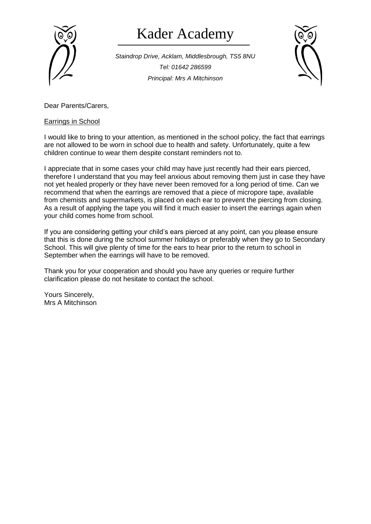

## Kader Academy

*Staindrop Drive, Acklam, Middlesbrough, TS5 8NU Tel: 01642 286599 Principal: Mrs A Mitchinson*



Dear Parents/Carers,

## Earrings in School

I would like to bring to your attention, as mentioned in the school policy, the fact that earrings are not allowed to be worn in school due to health and safety. Unfortunately, quite a few children continue to wear them despite constant reminders not to.

I appreciate that in some cases your child may have just recently had their ears pierced, therefore I understand that you may feel anxious about removing them just in case they have not yet healed properly or they have never been removed for a long period of time. Can we recommend that when the earrings are removed that a piece of micropore tape, available from chemists and supermarkets, is placed on each ear to prevent the piercing from closing. As a result of applying the tape you will find it much easier to insert the earrings again when your child comes home from school.

If you are considering getting your child's ears pierced at any point, can you please ensure that this is done during the school summer holidays or preferably when they go to Secondary School. This will give plenty of time for the ears to hear prior to the return to school in September when the earrings will have to be removed.

Thank you for your cooperation and should you have any queries or require further clarification please do not hesitate to contact the school.

Yours Sincerely, Mrs A Mitchinson